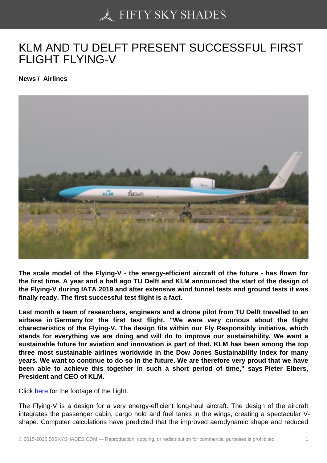## [KLM AND TU DELFT P](https://50skyshades.com)RESENT SUCCESSFUL FIRST FLIGHT FLYING-V

News / Airlines

The scale model of the Flying-V - the energy-efficient aircraft of the future - has flown for the first time. A year and a half ago TU Delft and KLM announced the start of the design of the Flying-V during IATA 2019 and after extensive wind tunnel tests and ground tests it was finally ready. The first successful test flight is a fact.

Last month a team of researchers, engineers and a drone pilot from TU Delft travelled to an airbase in Germany for the first test flight. "We were very curious about the flight characteristics of the Flying-V. The design fits within our Fly Responsibly initiative, which stands for everything we are doing and will do to improve our sustainability. We want a sustainable future for aviation and innovation is part of that. KLM has been among the top three most sustainable airlines worldwide in the Dow Jones Sustainability Index for many years. We want to continue to do so in the future. We are therefore very proud that we have been able to achieve this together in such a short period of time," says Pieter Elbers, President and CEO of KLM.

Click here for the footage of the flight.

The Flying-V is a design for a very energy-efficient long-haul aircraft. The design of the aircraft integrates the passenger cabin, cargo hold and fuel tanks in the wings, creating a spectacular Vshap[e. Co](https://www.youtube.com/watch?v=MFoc8wbuasM)mputer calculations have predicted that the improved aerodynamic shape and reduced